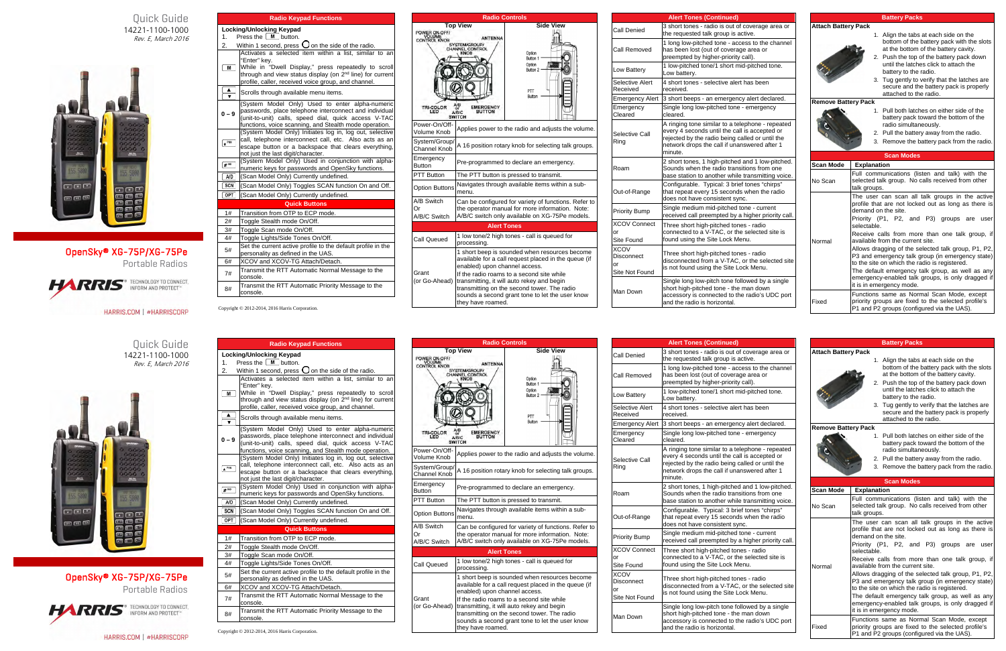Quick Guide 14221-1100-1000 Rev. E, March 2016



## OpenSky® XG-75P/XG-75Pe

Portable Radios



HARRIS.COM | #HARRISCORP

|                        | <b>Radio Keypad Functions</b>                                                                                                                                                                                                                                  |
|------------------------|----------------------------------------------------------------------------------------------------------------------------------------------------------------------------------------------------------------------------------------------------------------|
|                        | Locking/Unlocking Keypad                                                                                                                                                                                                                                       |
| 1.                     | Press the $[M]$ button.                                                                                                                                                                                                                                        |
| 2.                     | Within 1 second, press $\bigcup$ on the side of the radio.                                                                                                                                                                                                     |
| M                      | Activates a selected item within a list, similar to an<br>"Enter" key.<br>While in "Dwell Display," press repeatedly to scroll<br>through and view status display (on 2 <sup>nd</sup> line) for current<br>profile, caller, received voice group, and channel. |
| $\blacktriangle$       | Scrolls through available menu items.                                                                                                                                                                                                                          |
| $0 - 9$                | (System Model Only) Used to enter alpha-numeric<br>passwords, place telephone interconnect and individual<br>(unit-to-unit) calls, speed dial, quick access V-TAC<br>functions, voice scanning, and Stealth mode operation.                                    |
| $\star$ <sup>PHN</sup> | (System Model Only) Initiates log in, log out, selective<br>call, telephone interconnect call, etc. Also acts as an<br>escape button or a backspace that clears everything,<br>not just the last digit/character.                                              |
| $#$ IND                | (System Model Only) Used in conjunction with alpha-<br>numeric keys for passwords and OpenSky functions.                                                                                                                                                       |
| A/D                    | (Scan Model Only) Currently undefined.                                                                                                                                                                                                                         |
| <b>SCN</b>             | (Scan Model Only) Toggles SCAN function On and Off.                                                                                                                                                                                                            |
| OPT                    | (Scan Model Only) Currently undefined.                                                                                                                                                                                                                         |
|                        | <b>Quick Buttons</b>                                                                                                                                                                                                                                           |
| 1#                     | Transition from OTP to ECP mode.                                                                                                                                                                                                                               |
| 2#                     | Toggle Stealth mode On/Off.                                                                                                                                                                                                                                    |
| 3#                     | Toggle Scan mode On/Off.                                                                                                                                                                                                                                       |
| 4#                     | Toggle Lights/Side Tones On/Off.                                                                                                                                                                                                                               |
| 5#                     | Set the current active profile to the default profile in the<br>personality as defined in the UAS.                                                                                                                                                             |
| 6#                     | XCOV and XCOV-TG Attach/Detach.                                                                                                                                                                                                                                |
| 7#                     | Transmit the RTT Automatic Normal Message to the<br>console.                                                                                                                                                                                                   |
| 8#                     | Transmit the RTT Automatic Priority Message to the<br>console.                                                                                                                                                                                                 |

|                                                    | <b>Radio Controls</b>                                                                                                                                                                                                                                                                                                                                    |                                                                                      |  |  |  |
|----------------------------------------------------|----------------------------------------------------------------------------------------------------------------------------------------------------------------------------------------------------------------------------------------------------------------------------------------------------------------------------------------------------------|--------------------------------------------------------------------------------------|--|--|--|
| POWER ON-OFF/<br>CONTROL KNOB<br>TRI-COLOR<br>LED. | <b>Top View</b><br><b>ANTENNA</b><br>SYSTEM/GROUP/<br>CHANNEL CONTROL<br><b>KNOB</b><br><b>EMERGENCY</b><br><b>BUTTON</b><br>A/B/C<br><b>SWITCH</b>                                                                                                                                                                                                      | <b>Side View</b><br>Option<br>Button 1<br>Option<br>Button 2<br>PTT<br><b>Button</b> |  |  |  |
| Power-On/Off-<br>Volume Knob                       |                                                                                                                                                                                                                                                                                                                                                          | Applies power to the radio and adjusts the volume.                                   |  |  |  |
| System/Group/<br>Channel Knob                      | A 16 position rotary knob for selecting talk groups.                                                                                                                                                                                                                                                                                                     |                                                                                      |  |  |  |
| Emergency<br><b>Button</b>                         | Pre-programmed to declare an emergency.                                                                                                                                                                                                                                                                                                                  |                                                                                      |  |  |  |
| <b>PTT Button</b>                                  | The PTT button is pressed to transmit.                                                                                                                                                                                                                                                                                                                   |                                                                                      |  |  |  |
| <b>Option Buttons</b>                              | Navigates through available items within a sub-<br>menu.                                                                                                                                                                                                                                                                                                 |                                                                                      |  |  |  |
| A/B Switch<br>Or<br>A/B/C Switch                   | Can be configured for variety of functions. Refer to<br>the operator manual for more information. Note:<br>A/B/C switch only available on XG-75Pe models.                                                                                                                                                                                                |                                                                                      |  |  |  |
|                                                    |                                                                                                                                                                                                                                                                                                                                                          | <b>Alert Tones</b>                                                                   |  |  |  |
| Call Queued                                        | 1 low tone/2 high tones - call is queued for<br>processing.                                                                                                                                                                                                                                                                                              |                                                                                      |  |  |  |
| Grant<br>(or Go-Ahead)                             | 1 short beep is sounded when resources become<br>available for a call request placed in the queue (if<br>enabled) upon channel access.<br>If the radio roams to a second site while<br>transmitting, it will auto rekey and begin<br>transmitting on the second tower. The radio<br>sounds a second grant tone to let the user know<br>they have roamed. |                                                                                      |  |  |  |

|                                                   | <b>Alert Tones (Continued)</b>                                                                                                                                                                                  |                            | <b>Battery Packs</b>                                                                                                                                                                                         |  |  |
|---------------------------------------------------|-----------------------------------------------------------------------------------------------------------------------------------------------------------------------------------------------------------------|----------------------------|--------------------------------------------------------------------------------------------------------------------------------------------------------------------------------------------------------------|--|--|
| <b>Call Denied</b>                                | 3 short tones - radio is out of coverage area or<br>the requested talk group is active.                                                                                                                         | <b>Attach Battery Pack</b> | 1. Align the tabs at each side on the                                                                                                                                                                        |  |  |
| Call Removed                                      | 1 long low-pitched tone - access to the channel<br>has been lost (out of coverage area or<br>preempted by higher-priority call).                                                                                |                            | bottom of the battery pack with the slots<br>at the bottom of the battery cavity.<br>2. Push the top of the battery pack down                                                                                |  |  |
| Low Battery                                       | 1 low-pitched tone/1 short mid-pitched tone.<br>Low battery.                                                                                                                                                    |                            | until the latches click to attach the<br>battery to the radio.                                                                                                                                               |  |  |
| Selective Alert<br>Received                       | 4 short tones - selective alert has been<br>received.                                                                                                                                                           |                            | 3. Tug gently to verify that the latches are<br>secure and the battery pack is properly<br>attached to the radio.                                                                                            |  |  |
|                                                   | Emergency Alert 3 short beeps - an emergency alert declared.                                                                                                                                                    | <b>Remove Battery Pack</b> |                                                                                                                                                                                                              |  |  |
| Emergency<br>Cleared                              | Single long low-pitched tone - emergency<br>cleared.                                                                                                                                                            |                            | 1. Pull both latches on either side of the<br>battery pack toward the bottom of the                                                                                                                          |  |  |
| Selective Call<br>Ring                            | A ringing tone similar to a telephone - repeated<br>every 4 seconds until the call is accepted or<br>rejected by the radio being called or until the<br>network drops the call if unanswered after 1<br>minute. |                            | radio simultaneously.<br>2. Pull the battery away from the radio.<br>3. Remove the battery pack from the radio.                                                                                              |  |  |
|                                                   | 2 short tones, 1 high-pitched and 1 low-pitched.                                                                                                                                                                |                            | <b>Scan Modes</b>                                                                                                                                                                                            |  |  |
| Roam                                              | Sounds when the radio transitions from one                                                                                                                                                                      | <b>Scan Mode</b>           | <b>Explanation</b>                                                                                                                                                                                           |  |  |
|                                                   | base station to another while transmitting voice.                                                                                                                                                               |                            | Full communications (listen and talk) with the                                                                                                                                                               |  |  |
| Out-of-Range                                      | Configurable. Typical: 3 brief tones "chirps"<br>that repeat every 15 seconds when the radio<br>does not have consistent sync.                                                                                  | No Scan                    | selected talk group. No calls received from other<br>talk groups.<br>The user can scan all talk groups in the active                                                                                         |  |  |
| <b>Priority Bump</b>                              | Single medium mid-pitched tone - current<br>received call preempted by a higher priority call.                                                                                                                  |                            | profile that are not locked out as long as there is<br>demand on the site.<br>Priority (P1, P2, and P3) groups are<br>user                                                                                   |  |  |
| <b>XCOV Connect</b><br>or<br>Site Found           | Three short high-pitched tones - radio<br>connected to a V-TAC, or the selected site is<br>found using the Site Lock Menu.                                                                                      | Normal                     | selectable.<br>Receive calls from more than one talk group, if<br>available from the current site.                                                                                                           |  |  |
| <b>XCOV</b><br>Disconnect<br>or<br>Site Not Found | Three short high-pitched tones - radio<br>disconnected from a V-TAC, or the selected site<br>is not found using the Site Lock Menu.                                                                             |                            | Allows dragging of the selected talk group, P1, P2,<br>P3 and emergency talk group (in emergency state)<br>to the site on which the radio is registered.<br>The default emergency talk group, as well as any |  |  |
|                                                   | Single long low-pitch tone followed by a single<br>short high-pitched tone - the man down                                                                                                                       |                            | emergency-enabled talk groups, is only dragged if<br>it is in emergency mode.                                                                                                                                |  |  |
| Man Down                                          | accessory is connected to the radio's UDC port<br>and the radio is horizontal.                                                                                                                                  | Fixed                      | Functions same as Normal Scan Mode, except<br>priority groups are fixed to the selected profile's<br>P1 and P2 groups (configured via the UAS).                                                              |  |  |

Copyright © 2012-2014, 2016 Harris Corporation.